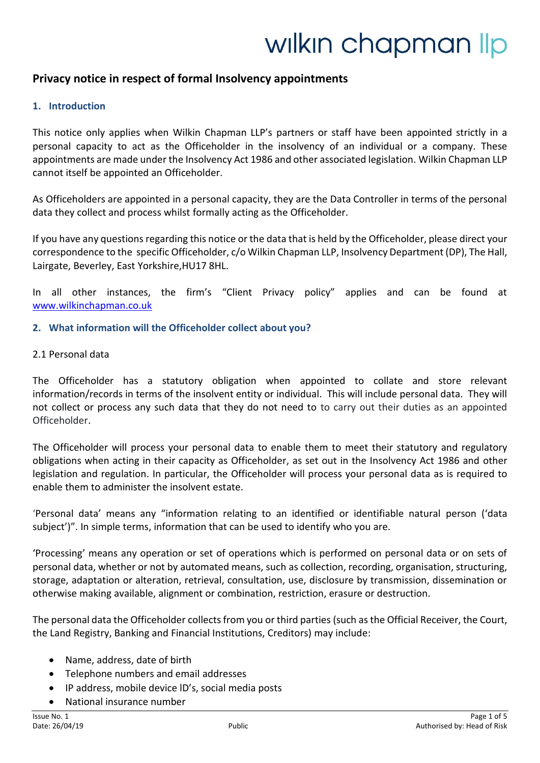# wilkin chapman lip

# **Privacy notice in respect of formal Insolvency appointments**

#### **1. Introduction**

This notice only applies when Wilkin Chapman LLP's partners or staff have been appointed strictly in a personal capacity to act as the Officeholder in the insolvency of an individual or a company. These appointments are made under the Insolvency Act 1986 and other associated legislation. Wilkin Chapman LLP cannot itself be appointed an Officeholder.

As Officeholders are appointed in a personal capacity, they are the Data Controller in terms of the personal data they collect and process whilst formally acting as the Officeholder.

If you have any questions regarding this notice or the data that is held by the Officeholder, please direct your correspondence to the specific Officeholder, c/o Wilkin Chapman LLP, Insolvency Department (DP), The Hall, Lairgate, Beverley, East Yorkshire,HU17 8HL.

In all other instances, the firm's "Client Privacy policy" applies and can be found at [www.wilkinchapman.co.uk](http://www.wilkinchapman.co.uk/)

#### **2. What information will the Officeholder collect about you?**

#### 2.1 Personal data

The Officeholder has a statutory obligation when appointed to collate and store relevant information/records in terms of the insolvent entity or individual. This will include personal data. They will not collect or process any such data that they do not need to to carry out their duties as an appointed Officeholder.

The Officeholder will process your personal data to enable them to meet their statutory and regulatory obligations when acting in their capacity as Officeholder, as set out in the Insolvency Act 1986 and other legislation and regulation. In particular, the Officeholder will process your personal data as is required to enable them to administer the insolvent estate.

'Personal data' means any "information relating to an identified or identifiable natural person ('data subject')". In simple terms, information that can be used to identify who you are.

'Processing' means any operation or set of operations which is performed on personal data or on sets of personal data, whether or not by automated means, such as collection, recording, organisation, structuring, storage, adaptation or alteration, retrieval, consultation, use, disclosure by transmission, dissemination or otherwise making available, alignment or combination, restriction, erasure or destruction.

The personal data the Officeholder collectsfrom you or third parties (such as the Official Receiver, the Court, the Land Registry, Banking and Financial Institutions, Creditors) may include:

- Name, address, date of birth
- Telephone numbers and email addresses
- IP address, mobile device lD's, social media posts
- National insurance number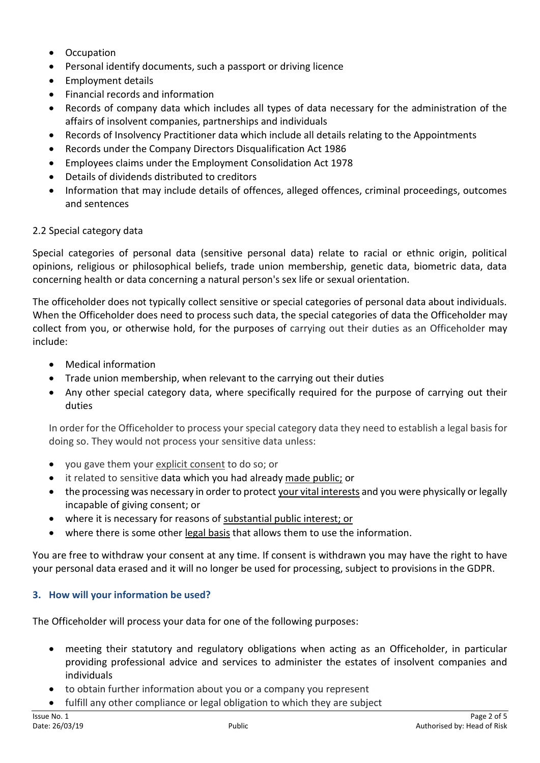- Occupation
- Personal identify documents, such a passport or driving licence
- Employment details
- Financial records and information
- Records of company data which includes all types of data necessary for the administration of the affairs of insolvent companies, partnerships and individuals
- Records of Insolvency Practitioner data which include all details relating to the Appointments
- Records under the Company Directors Disqualification Act 1986
- Employees claims under the Employment Consolidation Act 1978
- Details of dividends distributed to creditors
- Information that may include details of offences, alleged offences, criminal proceedings, outcomes and sentences

# 2.2 Special category data

Special categories of personal data (sensitive personal data) relate to racial or ethnic origin, political opinions, religious or philosophical beliefs, trade union membership, genetic data, biometric data, data concerning health or data concerning a natural person's sex life or sexual orientation.

The officeholder does not typically collect sensitive or special categories of personal data about individuals. When the Officeholder does need to process such data, the special categories of data the Officeholder may collect from you, or otherwise hold, for the purposes of carrying out their duties as an Officeholder may include:

- Medical information
- Trade union membership, when relevant to the carrying out their duties
- Any other special category data, where specifically required for the purpose of carrying out their duties

In order for the Officeholder to process your special category data they need to establish a legal basis for doing so. They would not process your sensitive data unless:

- you gave them your explicit consent to do so; or
- it related to sensitive data which you had already made public; or
- the processing was necessary in order to protect your vital interests and you were physically or legally incapable of giving consent; or
- where it is necessary for reasons of substantial public interest; or
- where there is some other legal basis that allows them to use the information.

You are free to withdraw your consent at any time. If consent is withdrawn you may have the right to have your personal data erased and it will no longer be used for processing, subject to provisions in the GDPR.

# **3. How will your information be used?**

The Officeholder will process your data for one of the following purposes:

- meeting their statutory and regulatory obligations when acting as an Officeholder, in particular providing professional advice and services to administer the estates of insolvent companies and individuals
- to obtain further information about you or a company you represent
- fulfill any other compliance or legal obligation to which they are subject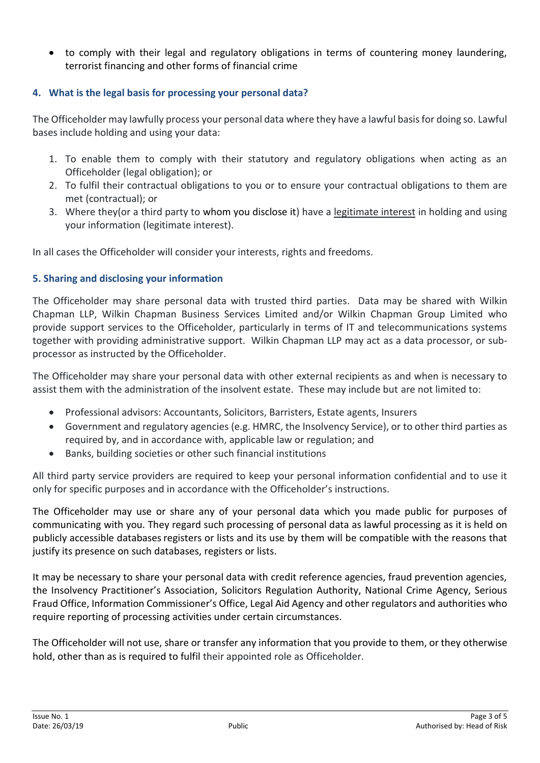to comply with their legal and regulatory obligations in terms of countering money laundering, terrorist financing and other forms of financial crime

# **4. What is the legal basis for processing your personal data?**

The Officeholder may lawfully process your personal data where they have a lawful basis for doing so. Lawful bases include holding and using your data:

- 1. To enable them to comply with their statutory and regulatory obligations when acting as an Officeholder (legal obligation); or
- 2. To fulfil their contractual obligations to you or to ensure your contractual obligations to them are met (contractual); or
- 3. Where they(or a third party to whom you disclose it) have a legitimate interest in holding and using your information (legitimate interest).

In all cases the Officeholder will consider your interests, rights and freedoms.

## **5. Sharing and disclosing your information**

The Officeholder may share personal data with trusted third parties. Data may be shared with Wilkin Chapman LLP, Wilkin Chapman Business Services Limited and/or Wilkin Chapman Group Limited who provide support services to the Officeholder, particularly in terms of IT and telecommunications systems together with providing administrative support. Wilkin Chapman LLP may act as a data processor, or subprocessor as instructed by the Officeholder.

The Officeholder may share your personal data with other external recipients as and when is necessary to assist them with the administration of the insolvent estate. These may include but are not limited to:

- Professional advisors: Accountants, Solicitors, Barristers, Estate agents, Insurers
- Government and regulatory agencies (e.g. HMRC, the Insolvency Service), or to other third parties as required by, and in accordance with, applicable law or regulation; and
- Banks, building societies or other such financial institutions

All third party service providers are required to keep your personal information confidential and to use it only for specific purposes and in accordance with the Officeholder's instructions.

The Officeholder may use or share any of your personal data which you made public for purposes of communicating with you. They regard such processing of personal data as lawful processing as it is held on publicly accessible databasesregisters or lists and its use by them will be compatible with the reasons that justify its presence on such databases, registers or lists.

It may be necessary to share your personal data with credit reference agencies, fraud prevention agencies, the Insolvency Practitioner's Association, Solicitors Regulation Authority, National Crime Agency, Serious Fraud Office, Information Commissioner's Office, Legal Aid Agency and other regulators and authorities who require reporting of processing activities under certain circumstances.

The Officeholder will not use, share or transfer any information that you provide to them, or they otherwise hold, other than as is required to fulfil their appointed role as Officeholder.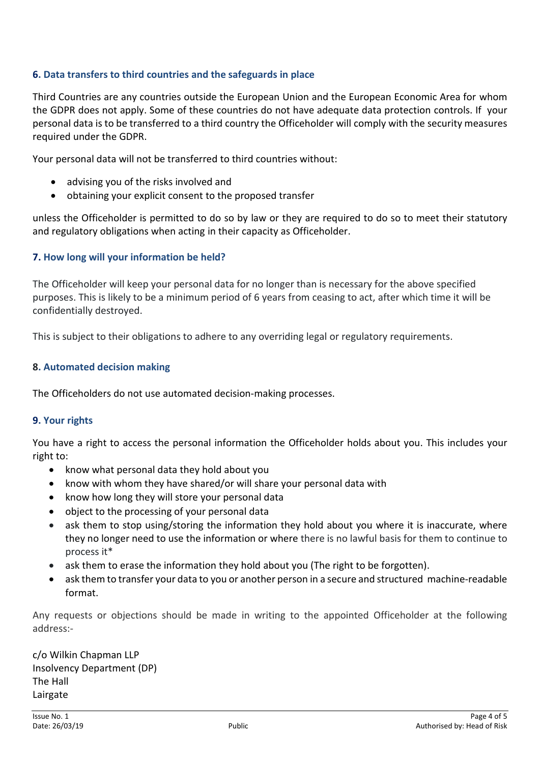## **6. Data transfers to third countries and the safeguards in place**

Third Countries are any countries outside the European Union and the European Economic Area for whom the GDPR does not apply. Some of these countries do not have adequate data protection controls. If your personal data is to be transferred to a third country the Officeholder will comply with the security measures required under the GDPR.

Your personal data will not be transferred to third countries without:

- advising you of the risks involved and
- obtaining your explicit consent to the proposed transfer

unless the Officeholder is permitted to do so by law or they are required to do so to meet their statutory and regulatory obligations when acting in their capacity as Officeholder.

## **7. How long will your information be held?**

The Officeholder will keep your personal data for no longer than is necessary for the above specified purposes. This is likely to be a minimum period of 6 years from ceasing to act, after which time it will be confidentially destroyed.

This is subject to their obligations to adhere to any overriding legal or regulatory requirements.

#### **8. Automated decision making**

The Officeholders do not use automated decision-making processes.

#### **9. Your rights**

You have a right to access the personal information the Officeholder holds about you. This includes your right to:

- know what personal data they hold about you
- know with whom they have shared/or will share your personal data with
- know how long they will store your personal data
- object to the processing of your personal data
- ask them to stop using/storing the information they hold about you where it is inaccurate, where they no longer need to use the information or where there is no lawful basis for them to continue to process it\*
- ask them to erase the information they hold about you (The right to be forgotten).
- ask them to transfer your data to you or another person in a secure and structured machine-readable format.

Any requests or objections should be made in writing to the appointed Officeholder at the following address:-

c/o Wilkin Chapman LLP Insolvency Department (DP) The Hall Lairgate